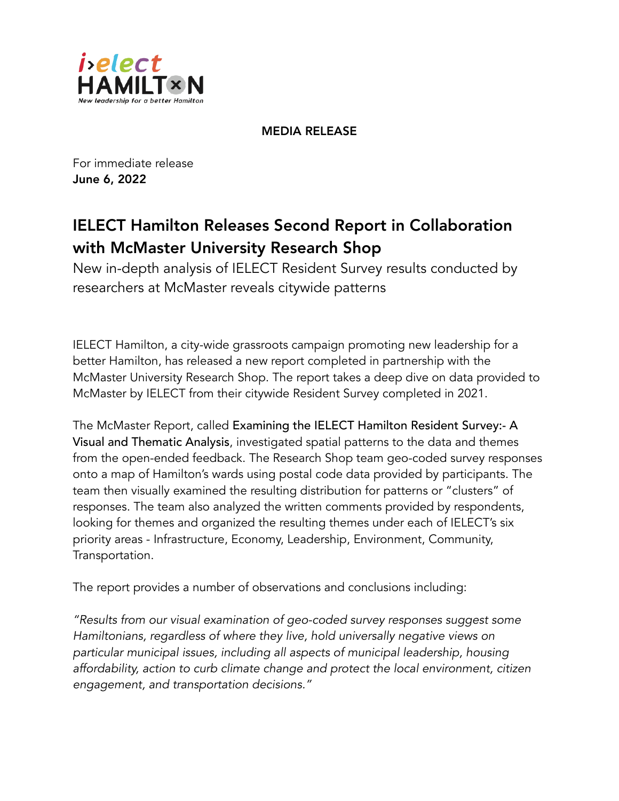

MEDIA RELEASE

For immediate release June 6, 2022

## IELECT Hamilton Releases Second Report in Collaboration with McMaster University Research Shop

New in-depth analysis of IELECT Resident Survey results conducted by researchers at McMaster reveals citywide patterns

IELECT Hamilton, a city-wide grassroots campaign promoting new leadership for a better Hamilton, has released a new report completed in partnership with the McMaster University Research Shop. The report takes a deep dive on data provided to McMaster by IELECT from their citywide Resident Survey completed in 2021.

The McMaster Report, called Examining the IELECT Hamilton Resident Survey:- A Visual and Thematic Analysis, investigated spatial patterns to the data and themes from the open-ended feedback. The Research Shop team geo-coded survey responses onto a map of Hamilton's wards using postal code data provided by participants. The team then visually examined the resulting distribution for patterns or "clusters" of responses. The team also analyzed the written comments provided by respondents, looking for themes and organized the resulting themes under each of IELECT's six priority areas - Infrastructure, Economy, Leadership, Environment, Community, Transportation.

The report provides a number of observations and conclusions including:

*"Results from our visual examination of geo-coded survey responses suggest some Hamiltonians, regardless of where they live, hold universally negative views on particular municipal issues, including all aspects of municipal leadership, housing affordability, action to curb climate change and protect the local environment, citizen engagement, and transportation decisions."*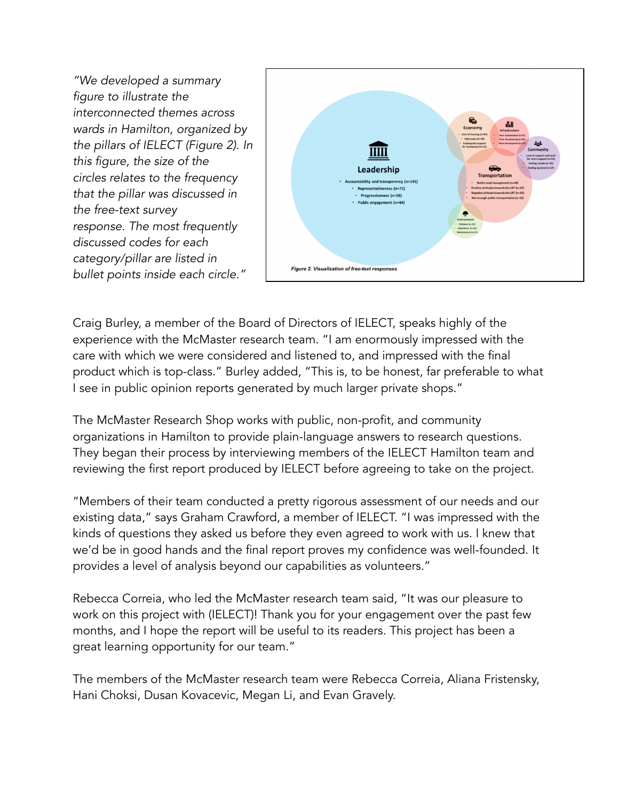*"We developed a summary figure to illustrate the interconnected themes across wards in Hamilton, organized by the pillars of IELECT (Figure 2). In this figure, the size of the circles relates to the frequency that the pillar was discussed in the free-text survey response. The most frequently discussed codes for each category/pillar are listed in bullet points inside each circle."* 



Craig Burley, a member of the Board of Directors of IELECT, speaks highly of the experience with the McMaster research team. "I am enormously impressed with the care with which we were considered and listened to, and impressed with the final product which is top-class." Burley added, "This is, to be honest, far preferable to what I see in public opinion reports generated by much larger private shops."

The McMaster Research Shop works with public, non-profit, and community organizations in Hamilton to provide plain-language answers to research questions. They began their process by interviewing members of the IELECT Hamilton team and reviewing the first report produced by IELECT before agreeing to take on the project.

"Members of their team conducted a pretty rigorous assessment of our needs and our existing data," says Graham Crawford, a member of IELECT. "I was impressed with the kinds of questions they asked us before they even agreed to work with us. I knew that we'd be in good hands and the final report proves my confidence was well-founded. It provides a level of analysis beyond our capabilities as volunteers."

Rebecca Correia, who led the McMaster research team said, "It was our pleasure to work on this project with (IELECT)! Thank you for your engagement over the past few months, and I hope the report will be useful to its readers. This project has been a great learning opportunity for our team."

The members of the McMaster research team were Rebecca Correia, Aliana Fristensky, Hani Choksi, Dusan Kovacevic, Megan Li, and Evan Gravely.